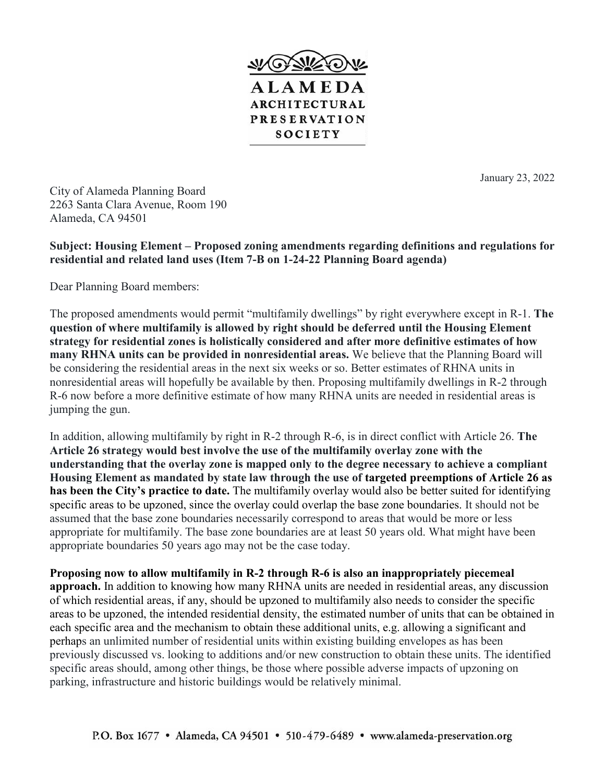

January 23, 2022

City of Alameda Planning Board 2263 Santa Clara Avenue, Room 190 Alameda, CA 94501

**Subject: Housing Element – Proposed zoning amendments regarding definitions and regulations for residential and related land uses (Item 7-B on 1-24-22 Planning Board agenda)**

Dear Planning Board members:

The proposed amendments would permit "multifamily dwellings" by right everywhere except in R-1. **The question of where multifamily is allowed by right should be deferred until the Housing Element strategy for residential zones is holistically considered and after more definitive estimates of how many RHNA units can be provided in nonresidential areas.** We believe that the Planning Board will be considering the residential areas in the next six weeks or so. Better estimates of RHNA units in nonresidential areas will hopefully be available by then. Proposing multifamily dwellings in R-2 through R-6 now before a more definitive estimate of how many RHNA units are needed in residential areas is jumping the gun.

In addition, allowing multifamily by right in R-2 through R-6, is in direct conflict with Article 26. **The Article 26 strategy would best involve the use of the multifamily overlay zone with the understanding that the overlay zone is mapped only to the degree necessary to achieve a compliant Housing Element as mandated by state law through the use of targeted preemptions of Article 26 as has been the City's practice to date.** The multifamily overlay would also be better suited for identifying specific areas to be upzoned, since the overlay could overlap the base zone boundaries. It should not be assumed that the base zone boundaries necessarily correspond to areas that would be more or less appropriate for multifamily. The base zone boundaries are at least 50 years old. What might have been appropriate boundaries 50 years ago may not be the case today.

**Proposing now to allow multifamily in R-2 through R-6 is also an inappropriately piecemeal approach.** In addition to knowing how many RHNA units are needed in residential areas, any discussion of which residential areas, if any, should be upzoned to multifamily also needs to consider the specific areas to be upzoned, the intended residential density, the estimated number of units that can be obtained in each specific area and the mechanism to obtain these additional units, e.g. allowing a significant and perhaps an unlimited number of residential units within existing building envelopes as has been previously discussed vs. looking to additions and/or new construction to obtain these units. The identified specific areas should, among other things, be those where possible adverse impacts of upzoning on parking, infrastructure and historic buildings would be relatively minimal.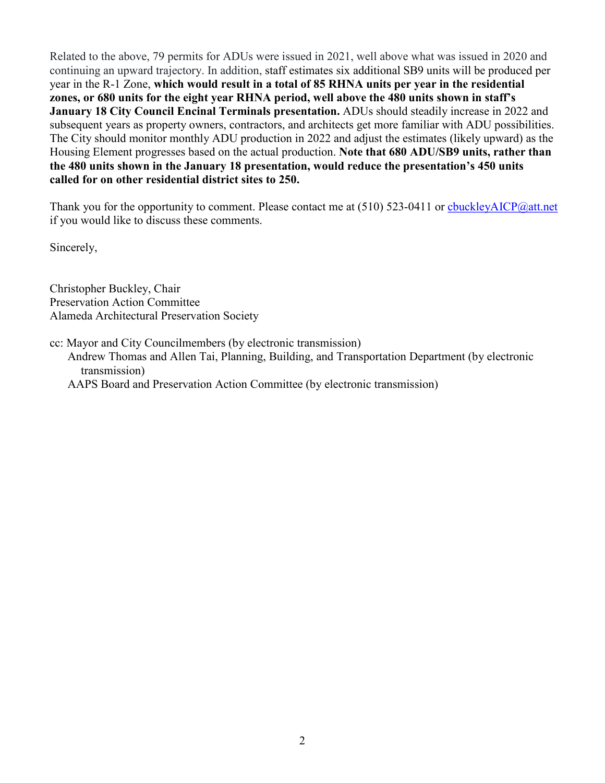Related to the above, 79 permits for ADUs were issued in 2021, well above what was issued in 2020 and continuing an upward trajectory. In addition, staff estimates six additional SB9 units will be produced per year in the R-1 Zone, **which would result in a total of 85 RHNA units per year in the residential zones, or 680 units for the eight year RHNA period, well above the 480 units shown in staff's January 18 City Council Encinal Terminals presentation.** ADUs should steadily increase in 2022 and subsequent years as property owners, contractors, and architects get more familiar with ADU possibilities. The City should monitor monthly ADU production in 2022 and adjust the estimates (likely upward) as the Housing Element progresses based on the actual production. **Note that 680 ADU/SB9 units, rather than the 480 units shown in the January 18 presentation, would reduce the presentation's 450 units called for on other residential district sites to 250.**

Thank you for the opportunity to comment. Please contact me at (510) 523-0411 or chuckleyAICP@att.net if you would like to discuss these comments.

Sincerely,

Christopher Buckley, Chair Preservation Action Committee Alameda Architectural Preservation Society

cc: Mayor and City Councilmembers (by electronic transmission)

Andrew Thomas and Allen Tai, Planning, Building, and Transportation Department (by electronic transmission)

AAPS Board and Preservation Action Committee (by electronic transmission)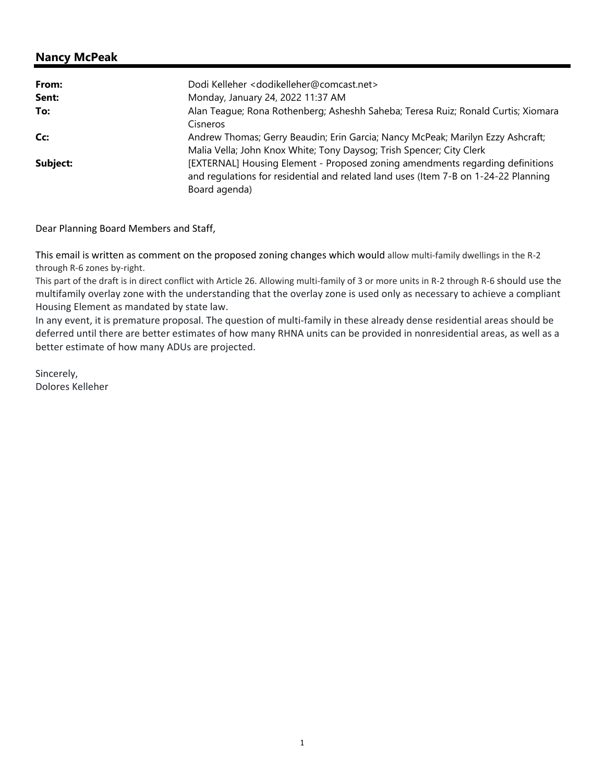| From:    | Dodi Kelleher <dodikelleher@comcast.net></dodikelleher@comcast.net>                 |
|----------|-------------------------------------------------------------------------------------|
| Sent:    | Monday, January 24, 2022 11:37 AM                                                   |
| To:      | Alan Teague; Rona Rothenberg; Asheshh Saheba; Teresa Ruiz; Ronald Curtis; Xiomara   |
|          | Cisneros                                                                            |
| Cc:      | Andrew Thomas; Gerry Beaudin; Erin Garcia; Nancy McPeak; Marilyn Ezzy Ashcraft;     |
|          | Malia Vella; John Knox White; Tony Daysog; Trish Spencer; City Clerk                |
| Subject: | [EXTERNAL] Housing Element - Proposed zoning amendments regarding definitions       |
|          | and regulations for residential and related land uses (Item 7-B on 1-24-22 Planning |
|          | Board agenda)                                                                       |

Dear Planning Board Members and Staff,

This email is written as comment on the proposed zoning changes which would allow multi‐family dwellings in the R‐2 through R‐6 zones by‐right.

This part of the draft is in direct conflict with Article 26. Allowing multi-family of 3 or more units in R-2 through R-6 should use the multifamily overlay zone with the understanding that the overlay zone is used only as necessary to achieve a compliant Housing Element as mandated by state law.

In any event, it is premature proposal. The question of multi-family in these already dense residential areas should be deferred until there are better estimates of how many RHNA units can be provided in nonresidential areas, as well as a better estimate of how many ADUs are projected.

Sincerely, Dolores Kelleher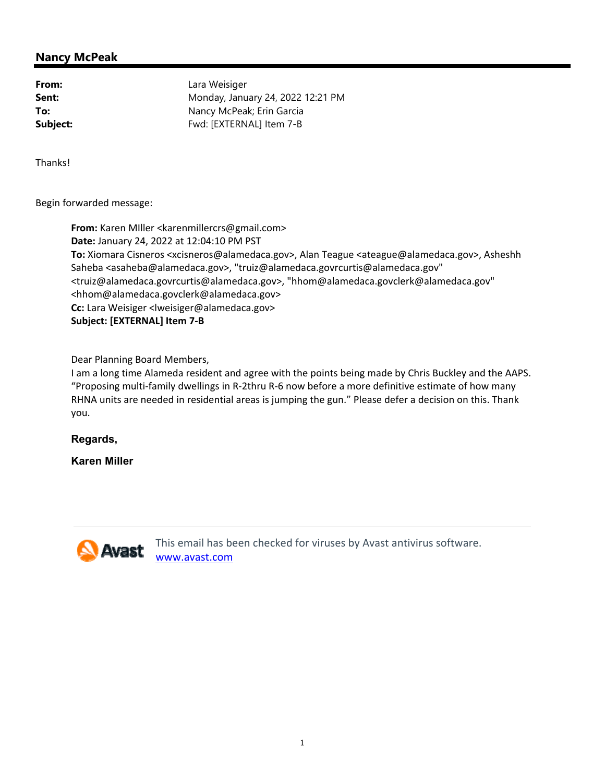**From:** Lara Weisiger **Sent:** Monday, January 24, 2022 12:21 PM **To:** Nancy McPeak; Erin Garcia **Subject:** Fwd: [EXTERNAL] Item 7-B

Thanks!

Begin forwarded message:

**From:** Karen MIller <karenmillercrs@gmail.com> **Date:** January 24, 2022 at 12:04:10 PM PST **To:** Xiomara Cisneros <xcisneros@alamedaca.gov>, Alan Teague <ateague@alamedaca.gov>, Asheshh Saheba <asaheba@alamedaca.gov>, "truiz@alamedaca.govrcurtis@alamedaca.gov" <truiz@alamedaca.govrcurtis@alamedaca.gov>, "hhom@alamedaca.govclerk@alamedaca.gov" <hhom@alamedaca.govclerk@alamedaca.gov> **Cc:** Lara Weisiger <lweisiger@alamedaca.gov> **Subject: [EXTERNAL] Item 7‐B**

Dear Planning Board Members,

I am a long time Alameda resident and agree with the points being made by Chris Buckley and the AAPS. "Proposing multi‐family dwellings in R‐2thru R‐6 now before a more definitive estimate of how many RHNA units are needed in residential areas is jumping the gun." Please defer a decision on this. Thank you.

**Regards,**

**Karen Miller** 



This email has been checked for viruses by Avast antivirus software. www.avast.com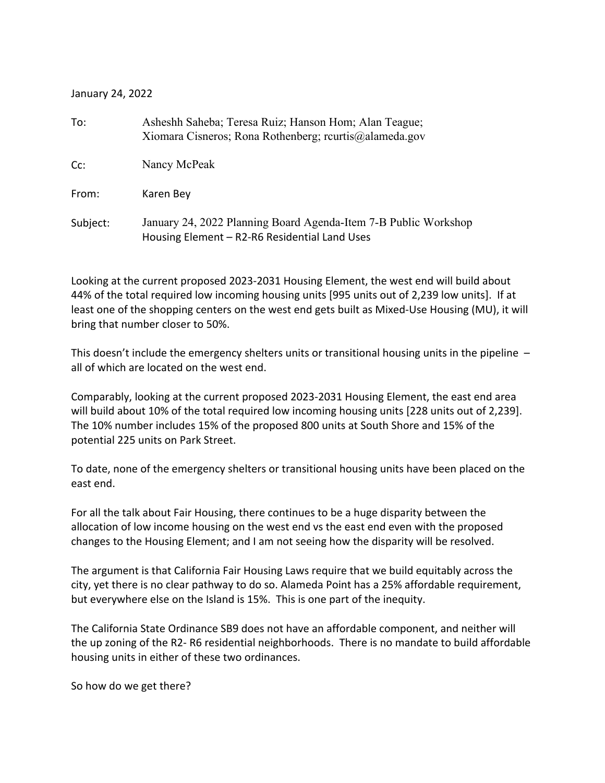January 24, 2022

| To:      | Asheshh Saheba; Teresa Ruiz; Hanson Hom; Alan Teague;<br>Xiomara Cisneros; Rona Rothenberg; rcurtis@alameda.gov  |
|----------|------------------------------------------------------------------------------------------------------------------|
| Cc:      | Nancy McPeak                                                                                                     |
| From:    | Karen Bey                                                                                                        |
| Subject: | January 24, 2022 Planning Board Agenda-Item 7-B Public Workshop<br>Housing Element - R2-R6 Residential Land Uses |

Looking at the current proposed 2023‐2031 Housing Element, the west end will build about 44% of the total required low incoming housing units [995 units out of 2,239 low units]. If at least one of the shopping centers on the west end gets built as Mixed‐Use Housing (MU), it will bring that number closer to 50%.

This doesn't include the emergency shelters units or transitional housing units in the pipeline – all of which are located on the west end.

Comparably, looking at the current proposed 2023‐2031 Housing Element, the east end area will build about 10% of the total required low incoming housing units [228 units out of 2,239]. The 10% number includes 15% of the proposed 800 units at South Shore and 15% of the potential 225 units on Park Street.

To date, none of the emergency shelters or transitional housing units have been placed on the east end.

For all the talk about Fair Housing, there continues to be a huge disparity between the allocation of low income housing on the west end vs the east end even with the proposed changes to the Housing Element; and I am not seeing how the disparity will be resolved.

The argument is that California Fair Housing Laws require that we build equitably across the city, yet there is no clear pathway to do so. Alameda Point has a 25% affordable requirement, but everywhere else on the Island is 15%. This is one part of the inequity.

The California State Ordinance SB9 does not have an affordable component, and neither will the up zoning of the R2‐ R6 residential neighborhoods. There is no mandate to build affordable housing units in either of these two ordinances.

So how do we get there?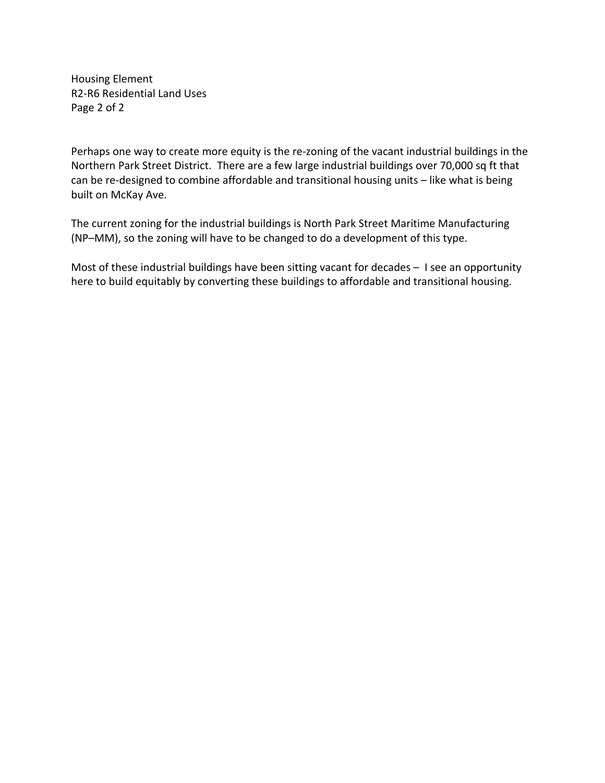Housing Element R2‐R6 Residential Land Uses Page 2 of 2

Perhaps one way to create more equity is the re‐zoning of the vacant industrial buildings in the Northern Park Street District. There are a few large industrial buildings over 70,000 sq ft that can be re-designed to combine affordable and transitional housing units - like what is being built on McKay Ave.

The current zoning for the industrial buildings is North Park Street Maritime Manufacturing (NP–MM), so the zoning will have to be changed to do a development of this type.

Most of these industrial buildings have been sitting vacant for decades - I see an opportunity here to build equitably by converting these buildings to affordable and transitional housing.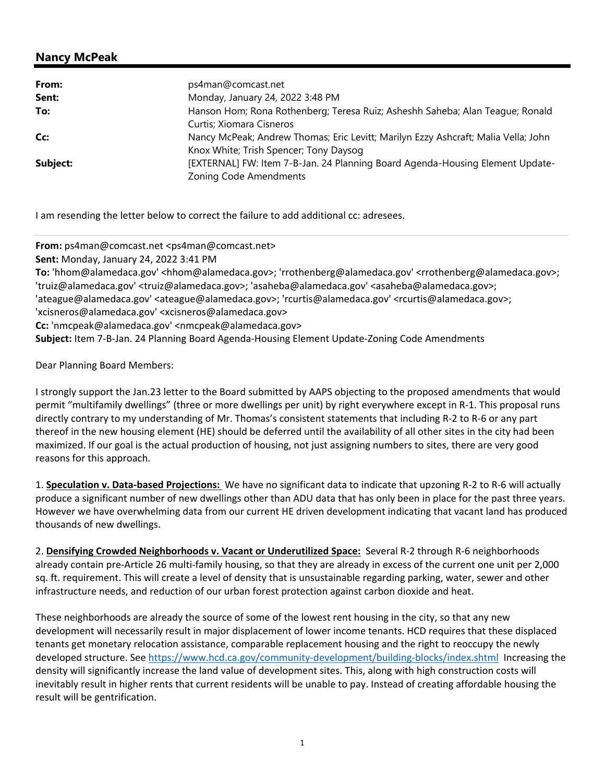| From:    | ps4man@comcast.net                                                                                      |
|----------|---------------------------------------------------------------------------------------------------------|
| Sent:    | Monday, January 24, 2022 3:48 PM                                                                        |
| To:      | Hanson Hom; Rona Rothenberg; Teresa Ruiz; Asheshh Saheba; Alan Teague; Ronald                           |
|          | Curtis; Xiomara Cisneros                                                                                |
| Cc:      | Nancy McPeak; Andrew Thomas; Eric Levitt; Marilyn Ezzy Ashcraft; Malia Vella; John                      |
|          | Knox White; Trish Spencer; Tony Daysog                                                                  |
| Subject: | [EXTERNAL] FW: Item 7-B-Jan. 24 Planning Board Agenda-Housing Element Update-<br>Zoning Code Amendments |

I am resending the letter below to correct the failure to add additional cc: adresees.

**From:** ps4man@comcast.net <ps4man@comcast.net> **Sent:** Monday, January 24, 2022 3:41 PM **To:** 'hhom@alamedaca.gov' <hhom@alamedaca.gov>; 'rrothenberg@alamedaca.gov' <rrothenberg@alamedaca.gov>; 'truiz@alamedaca.gov' <truiz@alamedaca.gov>; 'asaheba@alamedaca.gov' <asaheba@alamedaca.gov>; 'ateague@alamedaca.gov' <ateague@alamedaca.gov>; 'rcurtis@alamedaca.gov' <rcurtis@alamedaca.gov>; 'xcisneros@alamedaca.gov' <xcisneros@alamedaca.gov> **Cc:** 'nmcpeak@alamedaca.gov' <nmcpeak@alamedaca.gov> **Subject:** Item 7‐B‐Jan. 24 Planning Board Agenda‐Housing Element Update‐Zoning Code Amendments

Dear Planning Board Members:

I strongly support the Jan.23 letter to the Board submitted by AAPS objecting to the proposed amendments that would permit "multifamily dwellings" (three or more dwellings per unit) by right everywhere except in R‐1. This proposal runs directly contrary to my understanding of Mr. Thomas's consistent statements that including R‐2 to R‐6 or any part thereof in the new housing element (HE) should be deferred until the availability of all other sites in the city had been maximized. If our goal is the actual production of housing, not just assigning numbers to sites, there are very good reasons for this approach.

1. **Speculation v. Data‐based Projections:**  We have no significant data to indicate that upzoning R‐2 to R‐6 will actually produce a significant number of new dwellings other than ADU data that has only been in place for the past three years. However we have overwhelming data from our current HE driven development indicating that vacant land has produced thousands of new dwellings.

2. **Densifying Crowded Neighborhoods v. Vacant or Underutilized Space:** Several R‐2 through R‐6 neighborhoods already contain pre‐Article 26 multi‐family housing, so that they are already in excess of the current one unit per 2,000 sq. ft. requirement. This will create a level of density that is unsustainable regarding parking, water, sewer and other infrastructure needs, and reduction of our urban forest protection against carbon dioxide and heat.

These neighborhoods are already the source of some of the lowest rent housing in the city, so that any new development will necessarily result in major displacement of lower income tenants. HCD requires that these displaced tenants get monetary relocation assistance, comparable replacement housing and the right to reoccupy the newly developed structure. See https://www.hcd.ca.gov/community-development/building-blocks/index.shtml Increasing the density will significantly increase the land value of development sites. This, along with high construction costs will inevitably result in higher rents that current residents will be unable to pay. Instead of creating affordable housing the result will be gentrification.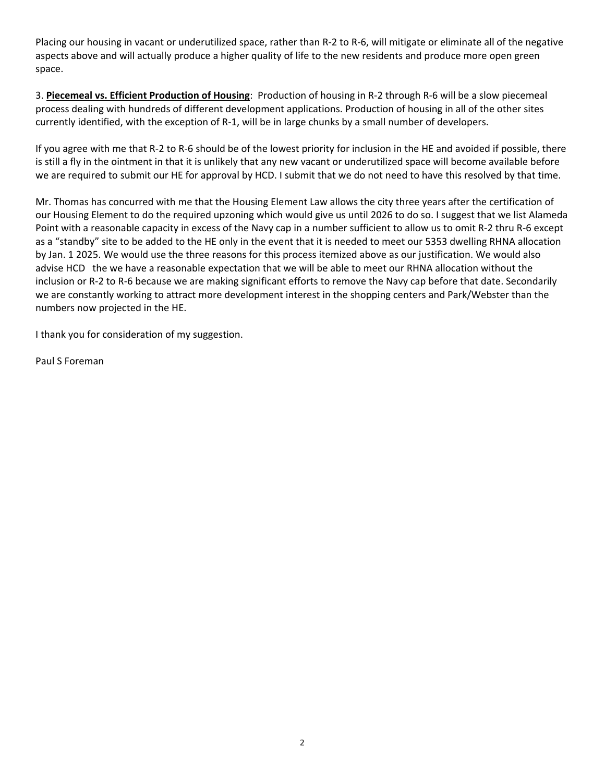Placing our housing in vacant or underutilized space, rather than R‐2 to R‐6, will mitigate or eliminate all of the negative aspects above and will actually produce a higher quality of life to the new residents and produce more open green space.

3. **Piecemeal vs. Efficient Production of Housing**: Production of housing in R‐2 through R‐6 will be a slow piecemeal process dealing with hundreds of different development applications. Production of housing in all of the other sites currently identified, with the exception of R‐1, will be in large chunks by a small number of developers.

If you agree with me that R‐2 to R‐6 should be of the lowest priority for inclusion in the HE and avoided if possible, there is still a fly in the ointment in that it is unlikely that any new vacant or underutilized space will become available before we are required to submit our HE for approval by HCD. I submit that we do not need to have this resolved by that time.

Mr. Thomas has concurred with me that the Housing Element Law allows the city three years after the certification of our Housing Element to do the required upzoning which would give us until 2026 to do so. I suggest that we list Alameda Point with a reasonable capacity in excess of the Navy cap in a number sufficient to allow us to omit R‐2 thru R‐6 except as a "standby" site to be added to the HE only in the event that it is needed to meet our 5353 dwelling RHNA allocation by Jan. 1 2025. We would use the three reasons for this process itemized above as our justification. We would also advise HCD the we have a reasonable expectation that we will be able to meet our RHNA allocation without the inclusion or R‐2 to R‐6 because we are making significant efforts to remove the Navy cap before that date. Secondarily we are constantly working to attract more development interest in the shopping centers and Park/Webster than the numbers now projected in the HE.

I thank you for consideration of my suggestion.

Paul S Foreman